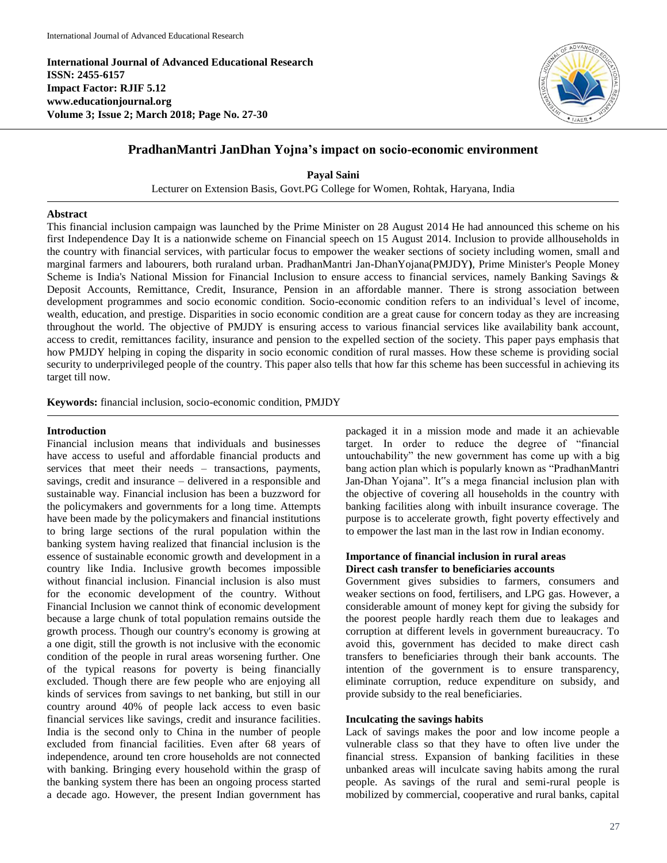**International Journal of Advanced Educational Research ISSN: 2455-6157 Impact Factor: RJIF 5.12 www.educationjournal.org Volume 3; Issue 2; March 2018; Page No. 27-30**



# **PradhanMantri JanDhan Yojna's impact on socio-economic environment**

**Payal Saini** Lecturer on Extension Basis, Govt.PG College for Women, Rohtak, Haryana, India

#### **Abstract**

This financial inclusion campaign was launched by the Prime Minister on 28 August 2014 He had announced this scheme on his first Independence Day It is a nationwide scheme on Financial speech on 15 August 2014. Inclusion to provide allhouseholds in the country with financial services, with particular focus to empower the weaker sections of society including women, small and marginal farmers and labourers, both ruraland urban. PradhanMantri Jan-DhanYojana(PMJDY**)**, Prime Minister's People Money Scheme is India's National Mission for Financial Inclusion to ensure access to financial services, namely Banking Savings & Deposit Accounts, Remittance, Credit, Insurance, Pension in an affordable manner. There is strong association between development programmes and socio economic condition. Socio-economic condition refers to an individual's level of income, wealth, education, and prestige. Disparities in socio economic condition are a great cause for concern today as they are increasing throughout the world. The objective of PMJDY is ensuring access to various financial services like availability bank account, access to credit, remittances facility, insurance and pension to the expelled section of the society. This paper pays emphasis that how PMJDY helping in coping the disparity in socio economic condition of rural masses. How these scheme is providing social security to underprivileged people of the country. This paper also tells that how far this scheme has been successful in achieving its target till now.

**Keywords:** financial inclusion, socio-economic condition, PMJDY

#### **Introduction**

Financial inclusion means that individuals and businesses have access to useful and affordable financial products and services that meet their needs – transactions, payments, savings, credit and insurance – delivered in a responsible and sustainable way. Financial inclusion has been a buzzword for the policymakers and governments for a long time. Attempts have been made by the policymakers and financial institutions to bring large sections of the rural population within the banking system having realized that financial inclusion is the essence of sustainable economic growth and development in a country like India. Inclusive growth becomes impossible without financial inclusion. Financial inclusion is also must for the economic development of the country. Without Financial Inclusion we cannot think of economic development because a large chunk of total population remains outside the growth process. Though our country's economy is growing at a one digit, still the growth is not inclusive with the economic condition of the people in rural areas worsening further. One of the typical reasons for poverty is being financially excluded. Though there are few people who are enjoying all kinds of services from savings to net banking, but still in our country around 40% of people lack access to even basic financial services like savings, credit and insurance facilities. India is the second only to China in the number of people excluded from financial facilities. Even after 68 years of independence, around ten crore households are not connected with banking. Bringing every household within the grasp of the banking system there has been an ongoing process started a decade ago. However, the present Indian government has

packaged it in a mission mode and made it an achievable target. In order to reduce the degree of "financial untouchability" the new government has come up with a big bang action plan which is popularly known as "PradhanMantri Jan-Dhan Yojana". It"s a mega financial inclusion plan with the objective of covering all households in the country with banking facilities along with inbuilt insurance coverage. The purpose is to accelerate growth, fight poverty effectively and to empower the last man in the last row in Indian economy.

## **Importance of financial inclusion in rural areas Direct cash transfer to beneficiaries accounts**

Government gives subsidies to farmers, consumers and weaker sections on food, fertilisers, and LPG gas. However, a considerable amount of money kept for giving the subsidy for the poorest people hardly reach them due to leakages and corruption at different levels in government bureaucracy. To avoid this, government has decided to make direct cash transfers to beneficiaries through their bank accounts. The intention of the government is to ensure transparency, eliminate corruption, reduce expenditure on subsidy, and provide subsidy to the real beneficiaries.

## **Inculcating the savings habits**

Lack of savings makes the poor and low income people a vulnerable class so that they have to often live under the financial stress. Expansion of banking facilities in these unbanked areas will inculcate saving habits among the rural people. As savings of the rural and semi-rural people is mobilized by commercial, cooperative and rural banks, capital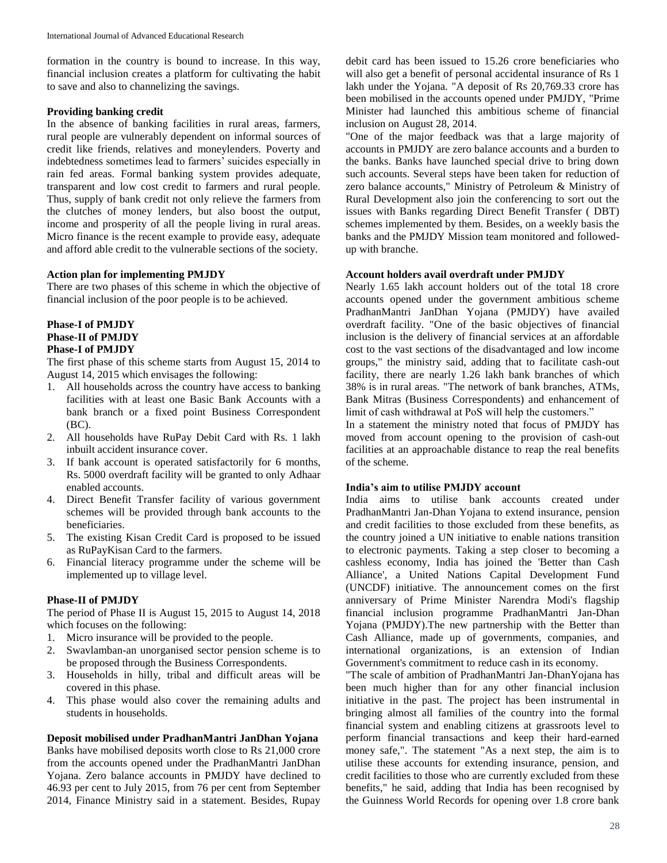formation in the country is bound to increase. In this way, financial inclusion creates a platform for cultivating the habit to save and also to channelizing the savings.

#### **Providing banking credit**

In the absence of banking facilities in rural areas, farmers, rural people are vulnerably dependent on informal sources of credit like friends, relatives and moneylenders. Poverty and indebtedness sometimes lead to farmers' suicides especially in rain fed areas. Formal banking system provides adequate, transparent and low cost credit to farmers and rural people. Thus, supply of bank credit not only relieve the farmers from the clutches of money lenders, but also boost the output, income and prosperity of all the people living in rural areas. Micro finance is the recent example to provide easy, adequate and afford able credit to the vulnerable sections of the society.

#### **Action plan for implementing PMJDY**

There are two phases of this scheme in which the objective of financial inclusion of the poor people is to be achieved.

#### **Phase-I of PMJDY Phase-II of PMJDY Phase-I of PMJDY**

The first phase of this scheme starts from August 15, 2014 to August 14, 2015 which envisages the following:

- 1. All households across the country have access to banking facilities with at least one Basic Bank Accounts with a bank branch or a fixed point Business Correspondent (BC).
- 2. All households have RuPay Debit Card with Rs. 1 lakh inbuilt accident insurance cover.
- 3. If bank account is operated satisfactorily for 6 months, Rs. 5000 overdraft facility will be granted to only Adhaar enabled accounts.
- 4. Direct Benefit Transfer facility of various government schemes will be provided through bank accounts to the beneficiaries.
- 5. The existing Kisan Credit Card is proposed to be issued as RuPayKisan Card to the farmers.
- 6. Financial literacy programme under the scheme will be implemented up to village level.

#### **Phase-II of PMJDY**

The period of Phase II is August 15, 2015 to August 14, 2018 which focuses on the following:

- 1. Micro insurance will be provided to the people.
- 2. Swavlamban-an unorganised sector pension scheme is to be proposed through the Business Correspondents.
- 3. Households in hilly, tribal and difficult areas will be covered in this phase.
- 4. This phase would also cover the remaining adults and students in households.

**Deposit mobilised under PradhanMantri JanDhan Yojana** Banks have mobilised deposits worth close to Rs 21,000 crore from the accounts opened under the PradhanMantri JanDhan Yojana. Zero balance accounts in PMJDY have declined to 46.93 per cent to July 2015, from 76 per cent from September 2014, Finance Ministry said in a statement. Besides, Rupay

debit card has been issued to 15.26 crore beneficiaries who will also get a benefit of personal accidental insurance of Rs 1 lakh under the Yojana. "A deposit of Rs 20,769.33 crore has been mobilised in the accounts opened under PMJDY, "Prime Minister had launched this ambitious scheme of financial inclusion on August 28, 2014.

"One of the major feedback was that a large majority of accounts in PMJDY are zero balance accounts and a burden to the banks. Banks have launched special drive to bring down such accounts. Several steps have been taken for reduction of zero balance accounts," Ministry of Petroleum & Ministry of Rural Development also join the conferencing to sort out the issues with Banks regarding Direct Benefit Transfer ( DBT) schemes implemented by them. Besides, on a weekly basis the banks and the PMJDY Mission team monitored and followedup with branche.

#### **Account holders avail overdraft under PMJDY**

Nearly 1.65 lakh account holders out of the total 18 crore accounts opened under the government ambitious scheme PradhanMantri JanDhan Yojana (PMJDY) have availed overdraft facility. "One of the basic objectives of financial inclusion is the delivery of financial services at an affordable cost to the vast sections of the disadvantaged and low income groups," the ministry said, adding that to facilitate cash-out facility, there are nearly 1.26 lakh bank branches of which 38% is in rural areas. "The network of bank branches, ATMs, Bank Mitras (Business Correspondents) and enhancement of limit of cash withdrawal at PoS will help the customers."

In a statement the ministry noted that focus of PMJDY has moved from account opening to the provision of cash-out facilities at an approachable distance to reap the real benefits of the scheme.

## **India's aim to utilise PMJDY account**

India aims to utilise bank accounts created under PradhanMantri Jan-Dhan Yojana to extend insurance, pension and credit facilities to those excluded from these benefits, as the country joined a UN initiative to enable nations transition to electronic payments. Taking a step closer to becoming a cashless economy, India has joined the 'Better than Cash Alliance', a United Nations Capital Development Fund (UNCDF) initiative. The announcement comes on the first anniversary of Prime Minister Narendra Modi's flagship financial inclusion programme PradhanMantri Jan-Dhan Yojana (PMJDY).The new partnership with the Better than Cash Alliance, made up of governments, companies, and international organizations, is an extension of Indian Government's commitment to reduce cash in its economy.

"The scale of ambition of PradhanMantri Jan-DhanYojana has been much higher than for any other financial inclusion initiative in the past. The project has been instrumental in bringing almost all families of the country into the formal financial system and enabling citizens at grassroots level to perform financial transactions and keep their hard-earned money safe,". The statement "As a next step, the aim is to utilise these accounts for extending insurance, pension, and credit facilities to those who are currently excluded from these benefits," he said, adding that India has been recognised by the Guinness World Records for opening over 1.8 crore bank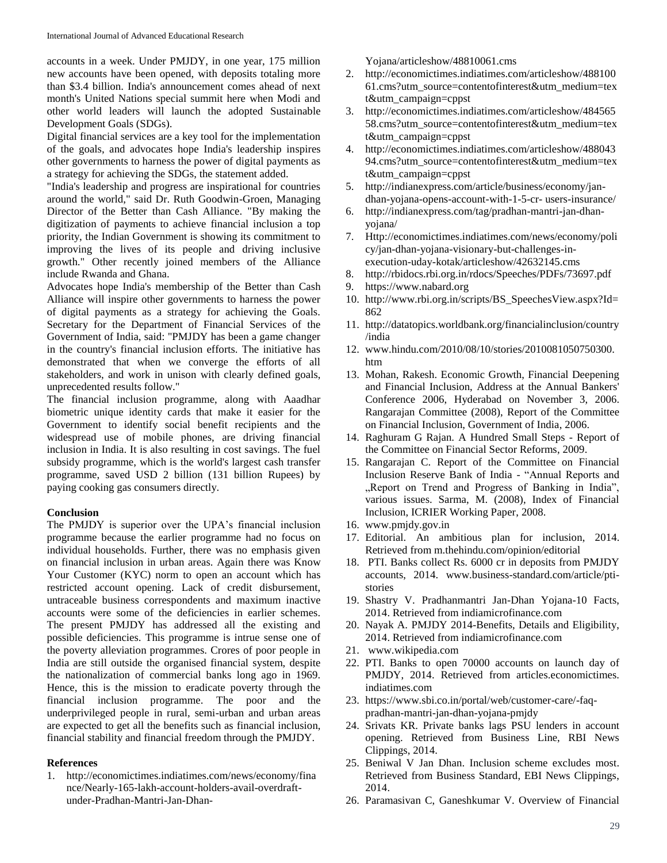accounts in a week. Under PMJDY, in one year, 175 million new accounts have been opened, with deposits totaling more than \$3.4 billion. India's announcement comes ahead of next month's United Nations special summit here when Modi and other world leaders will launch the adopted Sustainable Development Goals (SDGs).

Digital financial services are a key tool for the implementation of the goals, and advocates hope India's leadership inspires other governments to harness the power of digital payments as a strategy for achieving the SDGs, the statement added.

"India's leadership and progress are inspirational for countries around the world," said Dr. Ruth Goodwin-Groen, Managing Director of the Better than Cash Alliance. "By making the digitization of payments to achieve financial inclusion a top priority, the Indian Government is showing its commitment to improving the lives of its people and driving inclusive growth." Other recently joined members of the Alliance include Rwanda and Ghana.

Advocates hope India's membership of the Better than Cash Alliance will inspire other governments to harness the power of digital payments as a strategy for achieving the Goals. Secretary for the Department of Financial Services of the Government of India, said: "PMJDY has been a game changer in the country's financial inclusion efforts. The initiative has demonstrated that when we converge the efforts of all stakeholders, and work in unison with clearly defined goals, unprecedented results follow."

The financial inclusion programme, along with Aaadhar biometric unique identity cards that make it easier for the Government to identify social benefit recipients and the widespread use of mobile phones, are driving financial inclusion in India. It is also resulting in cost savings. The fuel subsidy programme, which is the world's largest cash transfer programme, saved USD 2 billion (131 billion Rupees) by paying cooking gas consumers directly.

## **Conclusion**

The PMJDY is superior over the UPA's financial inclusion programme because the earlier programme had no focus on individual households. Further, there was no emphasis given on financial inclusion in urban areas. Again there was Know Your Customer (KYC) norm to open an account which has restricted account opening. Lack of credit disbursement, untraceable business correspondents and maximum inactive accounts were some of the deficiencies in earlier schemes. The present PMJDY has addressed all the existing and possible deficiencies. This programme is intrue sense one of the poverty alleviation programmes. Crores of poor people in India are still outside the organised financial system, despite the nationalization of commercial banks long ago in 1969. Hence, this is the mission to eradicate poverty through the financial inclusion programme. The poor and the underprivileged people in rural, semi-urban and urban areas are expected to get all the benefits such as financial inclusion, financial stability and financial freedom through the PMJDY.

## **References**

1. http://economictimes.indiatimes.com/news/economy/fina nce/Nearly-165-lakh-account-holders-avail-overdraftunder-Pradhan-Mantri-Jan-DhanYojana/articleshow/48810061.cms

- 2. http://economictimes.indiatimes.com/articleshow/488100 61.cms?utm\_source=contentofinterest&utm\_medium=tex t&utm\_campaign=cppst
- 3. http://economictimes.indiatimes.com/articleshow/484565 58.cms?utm\_source=contentofinterest&utm\_medium=tex t&utm\_campaign=cppst
- 4. http://economictimes.indiatimes.com/articleshow/488043 94.cms?utm\_source=contentofinterest&utm\_medium=tex t&utm\_campaign=cppst
- 5. http://indianexpress.com/article/business/economy/jandhan-yojana-opens-account-with-1-5-cr- users-insurance/
- 6. http://indianexpress.com/tag/pradhan-mantri-jan-dhanyojana/
- 7. Http://economictimes.indiatimes.com/news/economy/poli cy/jan-dhan-yojana-visionary-but-challenges-inexecution-uday-kotak/articleshow/42632145.cms
- 8. http://rbidocs.rbi.org.in/rdocs/Speeches/PDFs/73697.pdf
- 9. https://www.nabard.org
- 10. http://www.rbi.org.in/scripts/BS\_SpeechesView.aspx?Id= 862
- 11. http://datatopics.worldbank.org/financialinclusion/country /india
- 12. www.hindu.com/2010/08/10/stories/2010081050750300. htm
- 13. Mohan, Rakesh. Economic Growth, Financial Deepening and Financial Inclusion, Address at the Annual Bankers' Conference 2006, Hyderabad on November 3, 2006. Rangarajan Committee (2008), Report of the Committee on Financial Inclusion, Government of India, 2006.
- 14. Raghuram G Rajan. A Hundred Small Steps Report of the Committee on Financial Sector Reforms, 2009.
- 15. Rangarajan C. Report of the Committee on Financial Inclusion Reserve Bank of India - "Annual Reports and "Report on Trend and Progress of Banking in India", various issues. Sarma, M. (2008), Index of Financial Inclusion, ICRIER Working Paper, 2008.
- 16. www.pmjdy.gov.in
- 17. Editorial. An ambitious plan for inclusion, 2014. Retrieved from m.thehindu.com/opinion/editorial
- 18. PTI. Banks collect Rs. 6000 cr in deposits from PMJDY accounts, 2014. www.business-standard.com/article/ptistories
- 19. Shastry V. Pradhanmantri Jan-Dhan Yojana-10 Facts, 2014. Retrieved from indiamicrofinance.com
- 20. Nayak A. PMJDY 2014-Benefits, Details and Eligibility, 2014. Retrieved from indiamicrofinance.com
- 21. www.wikipedia.com
- 22. PTI. Banks to open 70000 accounts on launch day of PMJDY, 2014. Retrieved from articles.economictimes. indiatimes.com
- 23. https://www.sbi.co.in/portal/web/customer-care/-faqpradhan-mantri-jan-dhan-yojana-pmjdy
- 24. Srivats KR. Private banks lags PSU lenders in account opening. Retrieved from Business Line, RBI News Clippings, 2014.
- 25. Beniwal V Jan Dhan. Inclusion scheme excludes most. Retrieved from Business Standard, EBI News Clippings, 2014.
- 26. Paramasivan C, Ganeshkumar V. Overview of Financial